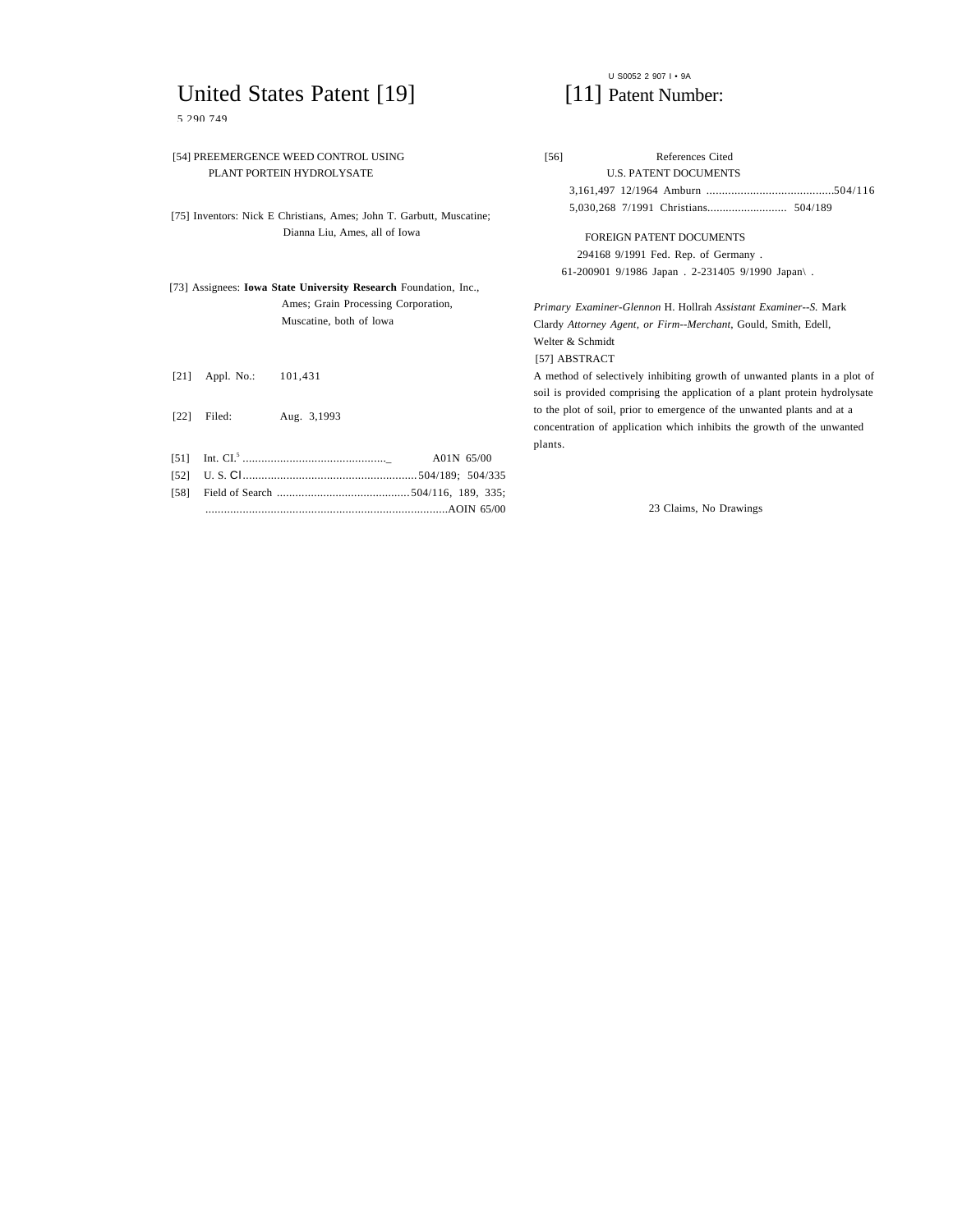## United States Patent [19] [11] Patent Number:

5 290 749

# U S0052 2 907 I • 9A

|                           |            | [54] PREEMERGENCE WEED CONTROL USING                                 | [56]             | References Cited                                                           |  |
|---------------------------|------------|----------------------------------------------------------------------|------------------|----------------------------------------------------------------------------|--|
| PLANT PORTEIN HYDROLYSATE |            |                                                                      |                  | <b>U.S. PATENT DOCUMENTS</b>                                               |  |
|                           |            |                                                                      |                  |                                                                            |  |
|                           |            | [75] Inventors: Nick E Christians, Ames; John T. Garbutt, Muscatine; |                  |                                                                            |  |
|                           |            | Dianna Liu, Ames, all of Iowa                                        |                  | <b>FOREIGN PATENT DOCUMENTS</b>                                            |  |
|                           |            |                                                                      |                  | 294168 9/1991 Fed. Rep. of Germany.                                        |  |
|                           |            |                                                                      |                  | 61-200901 9/1986 Japan . 2-231405 9/1990 Japan .                           |  |
|                           |            | [73] Assignees: Iowa State University Research Foundation, Inc.,     |                  |                                                                            |  |
|                           |            | Ames; Grain Processing Corporation,                                  |                  | Primary Examiner-Glennon H. Hollrah Assistant Examiner--S. Mark            |  |
| Muscatine, both of lowa   |            | Clardy Attorney Agent, or Firm--Merchant, Gould, Smith, Edell,       |                  |                                                                            |  |
|                           |            |                                                                      | Welter & Schmidt |                                                                            |  |
|                           |            |                                                                      | [57] ABSTRACT    |                                                                            |  |
| [21]                      | Appl. No.: | 101.431                                                              |                  | A method of selectively inhibiting growth of unwanted plants in a plot of  |  |
|                           |            |                                                                      |                  | soil is provided comprising the application of a plant protein hydrolysate |  |
| [22]                      | Filed:     | Aug. 3,1993                                                          |                  | to the plot of soil, prior to emergence of the unwanted plants and at a    |  |
|                           |            |                                                                      |                  | concentration of application which inhibits the growth of the unwanted     |  |
|                           |            |                                                                      | plants.          |                                                                            |  |
| [51]                      |            | A01N 65/00                                                           |                  |                                                                            |  |
| $[52]$                    |            | U.S. Chamiming and the control of the S04/189; 504/335               |                  |                                                                            |  |
| [58]                      |            |                                                                      |                  |                                                                            |  |
|                           |            |                                                                      |                  | 23 Claims, No Drawings                                                     |  |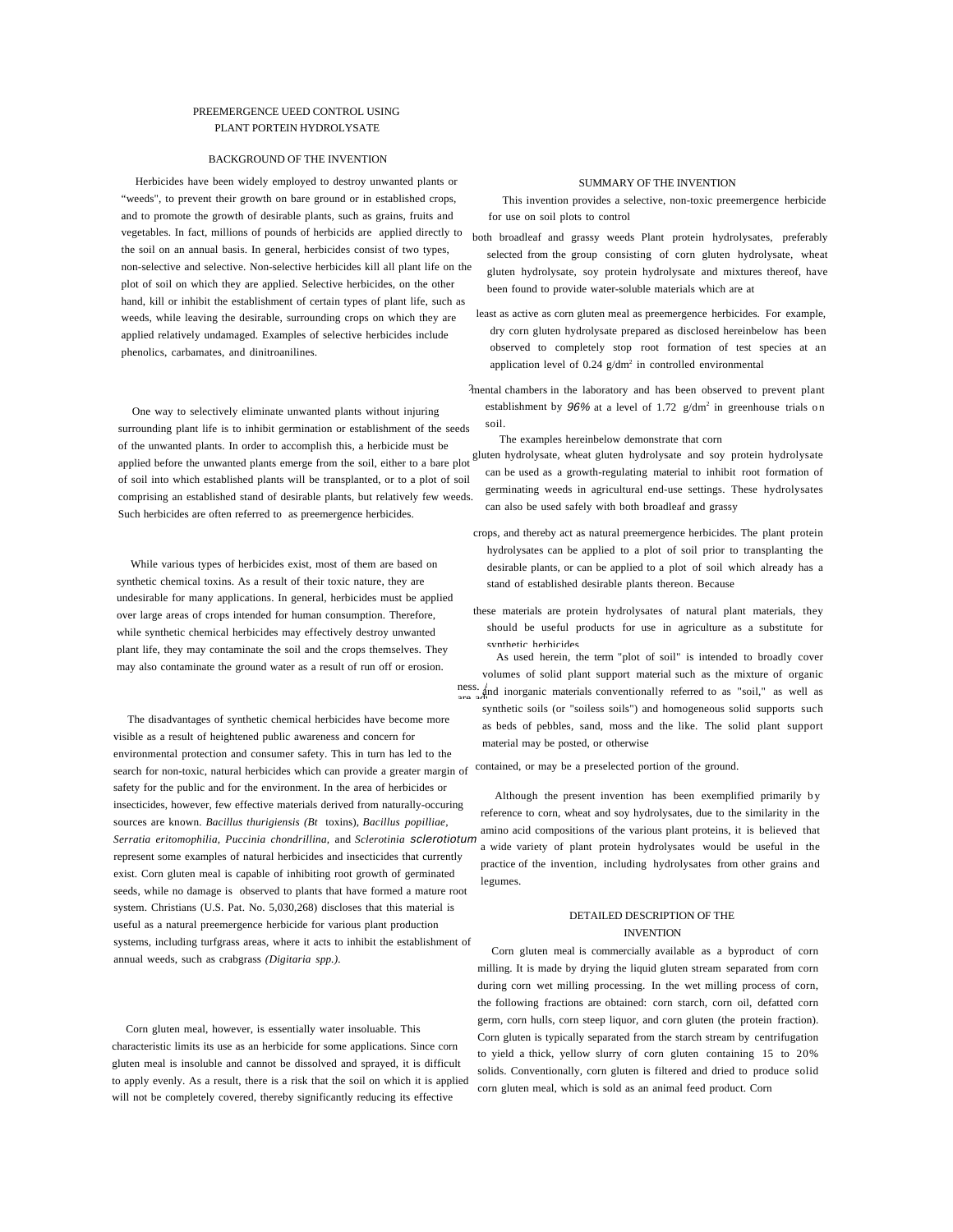#### PREEMERGENCE UEED CONTROL USING PLANT PORTEIN HYDROLYSATE

#### BACKGROUND OF THE INVENTION

Herbicides have been widely employed to destroy unwanted plants or "weeds", to prevent their growth on bare ground or in established crops, and to promote the growth of desirable plants, such as grains, fruits and vegetables. In fact, millions of pounds of herbicids are applied directly to the soil on an annual basis. In general, herbicides consist of two types, non-selective and selective. Non-selective herbicides kill all plant life on the plot of soil on which they are applied. Selective herbicides, on the other hand, kill or inhibit the establishment of certain types of plant life, such as weeds, while leaving the desirable, surrounding crops on which they are applied relatively undamaged. Examples of selective herbicides include phenolics, carbamates, and dinitroanilines.

One way to selectively eliminate unwanted plants without injuring surrounding plant life is to inhibit germination or establishment of the seeds of the unwanted plants. In order to accomplish this, a herbicide must be applied before the unwanted plants emerge from the soil, either to a bare plot of soil into which established plants will be transplanted, or to a plot of soil comprising an established stand of desirable plants, but relatively few weeds. Such herbicides are often referred to as preemergence herbicides.

While various types of herbicides exist, most of them are based on synthetic chemical toxins. As a result of their toxic nature, they are undesirable for many applications. In general, herbicides must be applied over large areas of crops intended for human consumption. Therefore, while synthetic chemical herbicides may effectively destroy unwanted plant life, they may contaminate the soil and the crops themselves. They may also contaminate the ground water as a result of run off or erosion.

The disadvantages of synthetic chemical herbicides have become more visible as a result of heightened public awareness and concern for environmental protection and consumer safety. This in turn has led to the search for non-toxic, natural herbicides which can provide a greater margin of contained, or may be a preselected portion of the ground. safety for the public and for the environment. In the area of herbicides or insecticides, however, few effective materials derived from naturally-occuring sources are known. *Bacillus thurigiensis (Bt* toxins), *Bacillus popilliae, Serratia eritomophilia, Puccinia chondrillina,* and *Sclerotinia* sclerotiotum represent some examples of natural herbicides and insecticides that currently exist. Corn gluten meal is capable of inhibiting root growth of germinated seeds, while no damage is observed to plants that have formed a mature root system. Christians (U.S. Pat. No. 5,030,268) discloses that this material is useful as a natural preemergence herbicide for various plant production systems, including turfgrass areas, where it acts to inhibit the establishment of annual weeds, such as crabgrass *(Digitaria spp.).*

Corn gluten meal, however, is essentially water insoluable. This characteristic limits its use as an herbicide for some applications. Since corn gluten meal is insoluble and cannot be dissolved and sprayed, it is difficult to apply evenly. As a result, there is a risk that the soil on which it is applied will not be completely covered, thereby significantly reducing its effective

#### SUMMARY OF THE INVENTION

This invention provides a selective, non-toxic preemergence herbicide for use on soil plots to control

- both broadleaf and grassy weeds Plant protein hydrolysates, preferably selected from the group consisting of corn gluten hydrolysate, wheat gluten hydrolysate, soy protein hydrolysate and mixtures thereof, have been found to provide water-soluble materials which are at
- least as active as corn gluten meal as preemergence herbicides. For example, dry corn gluten hydrolysate prepared as disclosed hereinbelow has been observed to completely stop root formation of test species at an application level of  $0.24$  g/dm<sup>2</sup> in controlled environmental
- 2 mental chambers in the laboratory and has been observed to prevent plant establishment by  $96\%$  at a level of 1.72  $g/dm^2$  in greenhouse trials on soil.

The examples hereinbelow demonstrate that corn

- gluten hydrolysate, wheat gluten hydrolysate and soy protein hydrolysate can be used as a growth-regulating material to inhibit root formation of germinating weeds in agricultural end-use settings. These hydrolysates can also be used safely with both broadleaf and grassy
- crops, and thereby act as natural preemergence herbicides. The plant protein hydrolysates can be applied to a plot of soil prior to transplanting the desirable plants, or can be applied to a plot of soil which already has a stand of established desirable plants thereon. Because
- these materials are protein hydrolysates of natural plant materials, they should be useful products for use in agriculture as a substitute for synthetic herbicides
- ness.  $\lim_{\alpha \to \infty}$  and inorganic materials conventionally referred to as "soil," as well as As used herein, the term "plot of soil" is intended to broadly cover volumes of solid plant support material such as the mixture of organic synthetic soils (or "soiless soils") and homogeneous solid supports such as beds of pebbles, sand, moss and the like. The solid plant support material may be posted, or otherwise

Although the present invention has been exemplified primarily by reference to corn, wheat and soy hydrolysates, due to the similarity in the amino acid compositions of the various plant proteins, it is believed that a wide variety of plant protein hydrolysates would be useful in the practice of the invention, including hydrolysates from other grains and legumes.

### DETAILED DESCRIPTION OF THE INVENTION

Corn gluten meal is commercially available as a byproduct of corn milling. It is made by drying the liquid gluten stream separated from corn during corn wet milling processing. In the wet milling process of corn, the following fractions are obtained: corn starch, corn oil, defatted corn germ, corn hulls, corn steep liquor, and corn gluten (the protein fraction). Corn gluten is typically separated from the starch stream by centrifugation to yield a thick, yellow slurry of corn gluten containing 15 to 20% solids. Conventionally, corn gluten is filtered and dried to produce solid corn gluten meal, which is sold as an animal feed product. Corn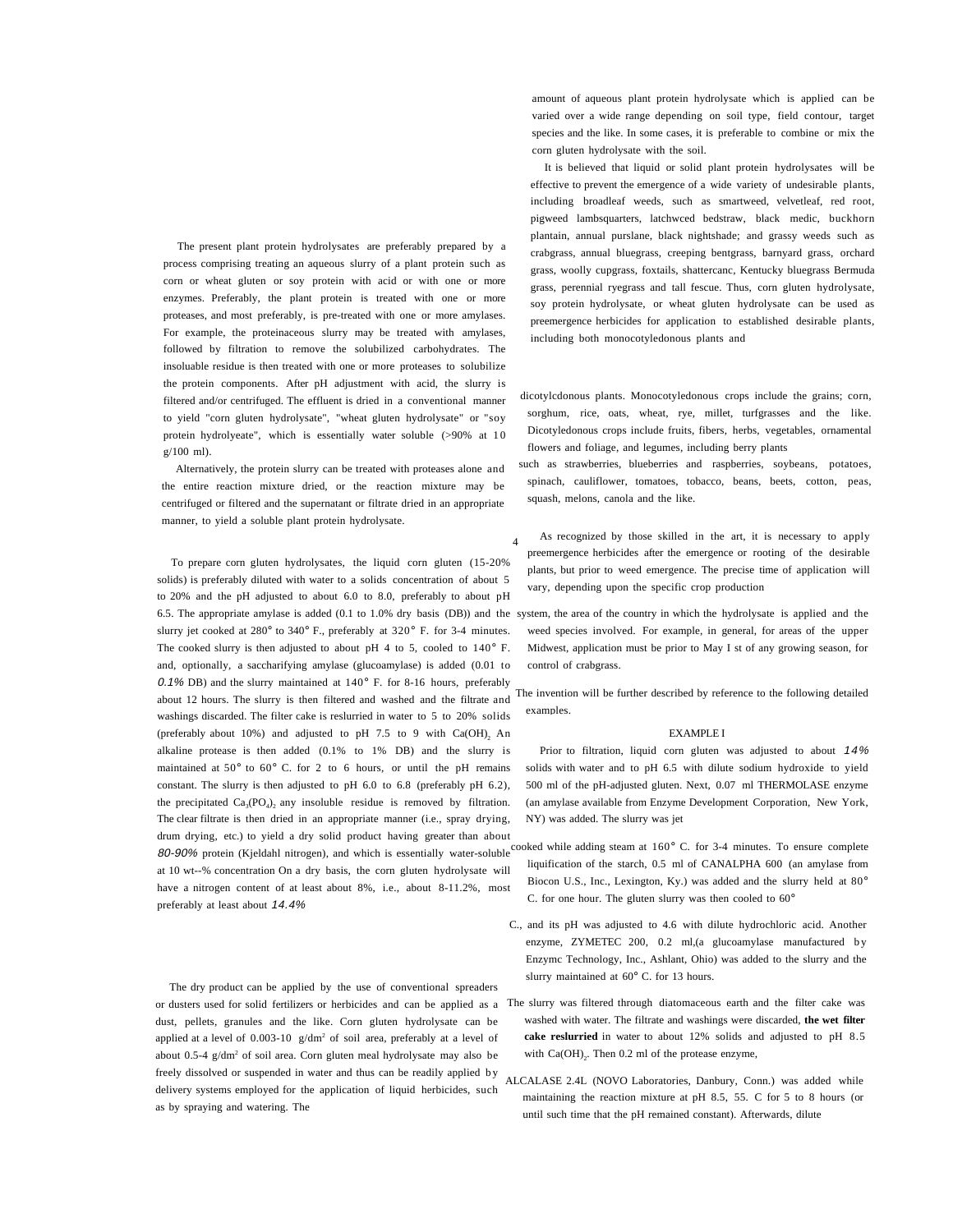The present plant protein hydrolysates are preferably prepared by a process comprising treating an aqueous slurry of a plant protein such as corn or wheat gluten or soy protein with acid or with one or more enzymes. Preferably, the plant protein is treated with one or more proteases, and most preferably, is pre-treated with one or more amylases. For example, the proteinaceous slurry may be treated with amylases, followed by filtration to remove the solubilized carbohydrates. The insoluable residue is then treated with one or more proteases to solubilize the protein components. After pH adjustment with acid, the slurry is filtered and/or centrifuged. The effluent is dried in a conventional manner to yield "corn gluten hydrolysate", "wheat gluten hydrolysate" or "soy protein hydrolyeate", which is essentially water soluble (>90% at 10 g/100 ml).

Alternatively, the protein slurry can be treated with proteases alone and the entire reaction mixture dried, or the reaction mixture may be centrifuged or filtered and the supernatant or filtrate dried in an appropriate manner, to yield a soluble plant protein hydrolysate.

To prepare corn gluten hydrolysates, the liquid corn gluten (15-20% solids) is preferably diluted with water to a solids concentration of about 5 to 20% and the pH adjusted to about 6.0 to 8.0, preferably to about pH 6.5. The appropriate amylase is added (0.1 to 1.0% dry basis (DB)) and the system, the area of the country in which the hydrolysate is applied and the slurry jet cooked at 280° to 340° F., preferably at 320° F. for 3-4 minutes. The cooked slurry is then adjusted to about pH 4 to 5, cooled to 140° F. and, optionally, a saccharifying amylase (glucoamylase) is added (0.01 to 0.1% DB) and the slurry maintained at  $140^{\circ}$  F. for 8-16 hours, preferably about 12 hours. The slurry is then filtered and washed and the filtrate and washings discarded. The filter cake is reslurried in water to 5 to 20% solids (preferably about 10%) and adjusted to pH 7.5 to 9 with Ca(OH)<sub>2</sub> An alkaline protease is then added (0.1% to 1% DB) and the slurry is maintained at 50° to 60° C. for 2 to 6 hours, or until the pH remains constant. The slurry is then adjusted to pH 6.0 to 6.8 (preferably pH 6.2), the precipitated  $Ca<sub>3</sub>(PO<sub>4</sub>)$ , any insoluble residue is removed by filtration. The clear filtrate is then dried in an appropriate manner (i.e., spray drying, drum drying, etc.) to yield a dry solid product having greater than about at 10 wt--% concentration On a dry basis, the corn gluten hydrolysate will have a nitrogen content of at least about 8%, i.e., about 8-11.2%, most preferably at least about 14.4%

The dry product can be applied by the use of conventional spreaders or dusters used for solid fertilizers or herbicides and can be applied as a The slurry was filtered through diatomaceous earth and the filter cake was dust, pellets, granules and the like. Corn gluten hydrolysate can be applied at a level of  $0.003-10$  g/dm<sup>2</sup> of soil area, preferably at a level of about 0.5-4 g/dm<sup>2</sup> of soil area. Corn gluten meal hydrolysate may also be freely dissolved or suspended in water and thus can be readily applied by delivery systems employed for the application of liquid herbicides, such as by spraying and watering. The

amount of aqueous plant protein hydrolysate which is applied can be varied over a wide range depending on soil type, field contour, target species and the like. In some cases, it is preferable to combine or mix the corn gluten hydrolysate with the soil.

It is believed that liquid or solid plant protein hydrolysates will be effective to prevent the emergence of a wide variety of undesirable plants, including broadleaf weeds, such as smartweed, velvetleaf, red root, pigweed lambsquarters, latchwced bedstraw, black medic, buckhorn plantain, annual purslane, black nightshade; and grassy weeds such as crabgrass, annual bluegrass, creeping bentgrass, barnyard grass, orchard grass, woolly cupgrass, foxtails, shattercanc, Kentucky bluegrass Bermuda grass, perennial ryegrass and tall fescue. Thus, corn gluten hydrolysate, soy protein hydrolysate, or wheat gluten hydrolysate can be used as preemergence herbicides for application to established desirable plants, including both monocotyledonous plants and

 dicotylcdonous plants. Monocotyledonous crops include the grains; corn, sorghum, rice, oats, wheat, rye, millet, turfgrasses and the like. Dicotyledonous crops include fruits, fibers, herbs, vegetables, ornamental flowers and foliage, and legumes, including berry plants

 such as strawberries, blueberries and raspberries, soybeans, potatoes, spinach, cauliflower, tomatoes, tobacco, beans, beets, cotton, peas, squash, melons, canola and the like.

As recognized by those skilled in the art, it is necessary to apply preemergence herbicides after the emergence or rooting of the desirable plants, but prior to weed emergence. The precise time of application will vary, depending upon the specific crop production

4

weed species involved. For example, in general, for areas of the upper Midwest, application must be prior to May I st of any growing season, for control of crabgrass.

 The invention will be further described by reference to the following detailed examples.

#### EXAMPLE I

Prior to filtration, liquid corn gluten was adjusted to about 14% solids with water and to pH 6.5 with dilute sodium hydroxide to yield 500 ml of the pH-adjusted gluten. Next, 0.07 ml THERMOLASE enzyme (an amylase available from Enzyme Development Corporation, New York, NY) was added. The slurry was jet

- 80-90% protein (Kjeldahl nitrogen), and which is essentially water-soluble cooked while adding steam at 160° C. for 3-4 minutes. To ensure complete liquification of the starch, 0.5 ml of CANALPHA 600 (an amylase from Biocon U.S., Inc., Lexington, Ky.) was added and the slurry held at 80° C. for one hour. The gluten slurry was then cooled to 60°
	- C., and its pH was adjusted to 4.6 with dilute hydrochloric acid. Another enzyme, ZYMETEC 200, 0.2 ml,(a glucoamylase manufactured by Enzymc Technology, Inc., Ashlant, Ohio) was added to the slurry and the slurry maintained at 60° C. for 13 hours.
	- washed with water. The filtrate and washings were discarded, **the wet filter cake reslurried** in water to about 12% solids and adjusted to pH 8.5 with  $Ca(OH)_{2}$ . Then 0.2 ml of the protease enzyme,
	- ALCALASE 2.4L (NOVO Laboratories, Danbury, Conn.) was added while maintaining the reaction mixture at pH 8.5, 55. C for 5 to 8 hours (or until such time that the pH remained constant). Afterwards, dilute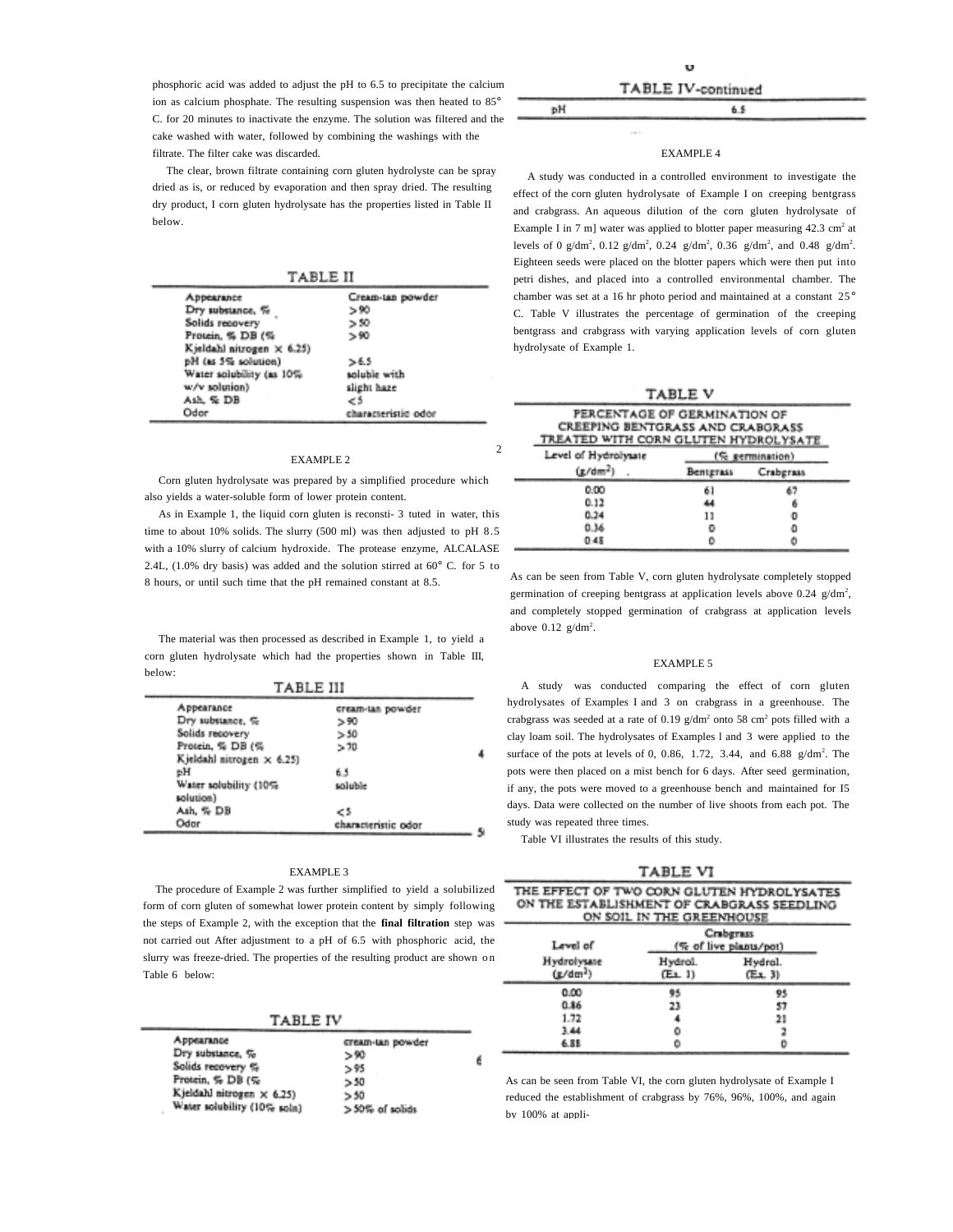phosphoric acid was added to adjust the pH to 6.5 to precipitate the calcium ion as calcium phosphate. The resulting suspension was then heated to 85° C. for 20 minutes to inactivate the enzyme. The solution was filtered and the cake washed with water, followed by combining the washings with the filtrate. The filter cake was discarded.

The clear, brown filtrate containing corn gluten hydrolyste can be spray dried as is, or reduced by evaporation and then spray dried. The resulting dry product, I corn gluten hydrolysate has the properties listed in Table II below.

TABLE II

| Appearance                | Cream-tan powder    |
|---------------------------|---------------------|
| Dry substance, %          | > 90                |
| Solids recovery           | > 50                |
| Protein, % DB (%          | > 90                |
| Kjeldahl nitrogen × 6.25) |                     |
| pH (as 5% solution)       | >6.5                |
| Water solubility (as 10%  | soluble with        |
| w/v solution)             | slight haze         |
| Ash, % DB                 | €5                  |
| Odor                      | characteristic odor |
|                           |                     |

#### EXAMPLE 2

Corn gluten hydrolysate was prepared by a simplified procedure which also yields a water-soluble form of lower protein content.

As in Example 1, the liquid corn gluten is reconsti- 3 tuted in water, this time to about 10% solids. The slurry (500 ml) was then adjusted to pH 8.5 with a 10% slurry of calcium hydroxide. The protease enzyme, ALCALASE 2.4L, (1.0% dry basis) was added and the solution stirred at 60° C. for 5 to 8 hours, or until such time that the pH remained constant at 8.5.

The material was then processed as described in Example 1, to yield a corn gluten hydrolysate which had the properties shown in Table III, below:  $\sim$  . The second contract of  $\sim$ 

|                           | TABLE III           |   |
|---------------------------|---------------------|---|
| Appearance                | cream-tan powder    |   |
| Dry substance, %          | > 90                |   |
| Solids recovery           | >50                 |   |
| Protein, % DB (%          | >70                 |   |
| Kjeldahl nitrogen × 6.25) |                     |   |
| вH                        | 6.5                 |   |
| Water solubility (10%     | soluble             |   |
| solution)                 |                     |   |
| Ash, % DB                 | - 5                 |   |
| Odor                      | characteristic odor | c |

#### EXAMPLE 3

The procedure of Example 2 was further simplified to yield a solubilized form of corn gluten of somewhat lower protein content by simply following the steps of Example 2, with the exception that the **final filtration** step was not carried out After adjustment to a pH of 6.5 with phosphoric acid, the slurry was freeze-dried. The properties of the resulting product are shown on Table 6 below:

**TABLE IV** 

| Appearance<br>Dry substance, % | cream-tan powder<br>> 90 |   |
|--------------------------------|--------------------------|---|
| Solids recovery %              | > 95                     | ć |
| Protein, % DB (%               | > 50                     |   |
| Kjeldahl nitrogen × 6.25)      | > 50                     |   |
| Water solubility (10% soln)    | $>50\%$ of solids        |   |
|                                |                          |   |

 $6.5$ 

pH

 $\mathcal{I}$ 

#### EXAMPLE 4

A study was conducted in a controlled environment to investigate the effect of the corn gluten hydrolysate of Example I on creeping bentgrass and crabgrass. An aqueous dilution of the corn gluten hydrolysate of Example I in 7 m] water was applied to blotter paper measuring  $42.3 \text{ cm}^2$  at levels of 0 g/dm<sup>2</sup>, 0.12 g/dm<sup>2</sup>, 0.24 g/dm<sup>2</sup>, 0.36 g/dm<sup>2</sup>, and 0.48 g/dm<sup>2</sup>. Eighteen seeds were placed on the blotter papers which were then put into petri dishes, and placed into a controlled environmental chamber. The chamber was set at a 16 hr photo period and maintained at a constant 25° C. Table V illustrates the percentage of germination of the creeping bentgrass and crabgrass with varying application levels of corn gluten hydrolysate of Example 1.

|  | TABLE V |  |
|--|---------|--|
|  |         |  |

| PERCENTAGE OF GERMINATION OF<br>CREEPING BENTGRASS AND CRABGRASS<br>TREATED WITH CORN GLUTEN HYDROLYSATE |           |           |  |  |  |  |
|----------------------------------------------------------------------------------------------------------|-----------|-----------|--|--|--|--|
| Level of Hydrolysate<br>(% germination)                                                                  |           |           |  |  |  |  |
| $(x/dm^2)$                                                                                               | Bentgrass | Crabgrass |  |  |  |  |
| 0.00                                                                                                     | 61        |           |  |  |  |  |
| 0.12                                                                                                     | 44        |           |  |  |  |  |
| 0.34                                                                                                     | 11        | o         |  |  |  |  |
| 0.36                                                                                                     |           |           |  |  |  |  |
| 0.48                                                                                                     |           |           |  |  |  |  |

As can be seen from Table V, corn gluten hydrolysate completely stopped germination of creeping bentgrass at application levels above  $0.24$  g/dm<sup>2</sup>, and completely stopped germination of crabgrass at application levels above  $0.12$  g/dm<sup>2</sup>.

#### EXAMPLE 5

A study was conducted comparing the effect of corn gluten hydrolysates of Examples I and 3 on crabgrass in a greenhouse. The crabgrass was seeded at a rate of 0.19  $g/dm^2$  onto 58 cm<sup>2</sup> pots filled with a clay loam soil. The hydrolysates of Examples l and 3 were applied to the surface of the pots at levels of 0, 0.86, 1.72, 3.44, and 6.88  $g/dm^2$ . The pots were then placed on a mist bench for 6 days. After seed germination, if any, the pots were moved to a greenhouse bench and maintained for I5 days. Data were collected on the number of live shoots from each pot. The study was repeated three times.

Table VI illustrates the results of this study.

TABLE VI

| Level of                  |                    | ON SOIL IN THE GREENHOUSE<br><b>Crabgrass</b><br>(% of live plants/pot) |
|---------------------------|--------------------|-------------------------------------------------------------------------|
| Hydrolysate<br>$(x/dm^2)$ | Hydrol.<br>(E1, 1) | Hydral.<br>$(E_1, 3)$                                                   |
| 0.00                      | 95                 | 95                                                                      |
| 0.86                      | 23                 | 57                                                                      |
| 1.72                      |                    | 21                                                                      |
| 3.44                      |                    |                                                                         |
| 6.88                      |                    | o                                                                       |

As can be seen from Table VI, the corn gluten hydrolysate of Example I reduced the establishment of crabgrass by 76%, 96%, 100%, and again by 100% at appli-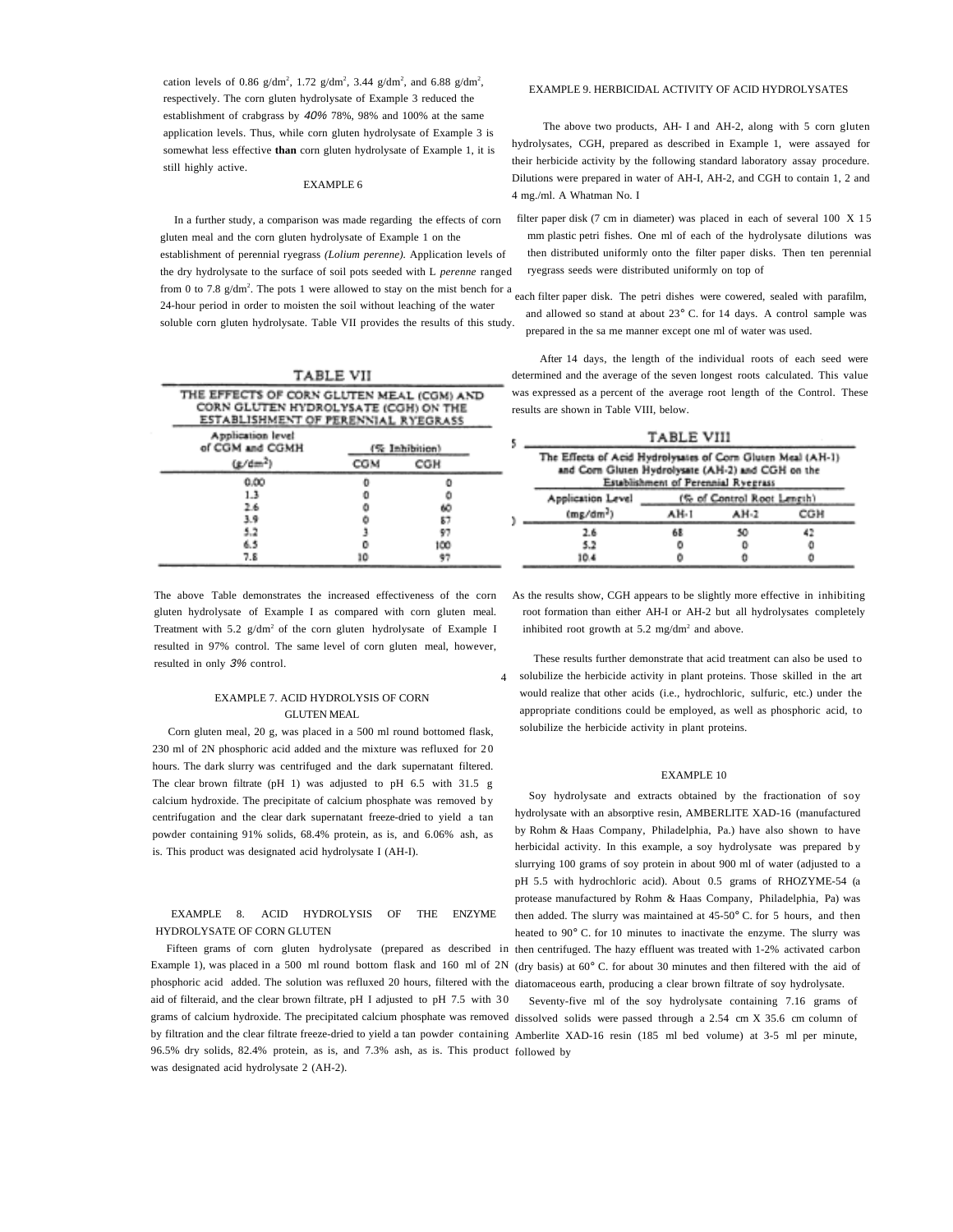cation levels of 0.86  $g/dm^2$ , 1.72  $g/dm^2$ , 3.44  $g/dm^2$ , and 6.88  $g/dm^2$ , respectively. The corn gluten hydrolysate of Example 3 reduced the establishment of crabgrass by 40% 78%, 98% and 100% at the same application levels. Thus, while corn gluten hydrolysate of Example 3 is somewhat less effective **than** corn gluten hydrolysate of Example 1, it is still highly active.

#### EXAMPLE 6

In a further study, a comparison was made regarding the effects of corn gluten meal and the corn gluten hydrolysate of Example 1 on the establishment of perennial ryegrass *(Lolium perenne).* Application levels of the dry hydrolysate to the surface of soil pots seeded with L *perenne* ranged from 0 to 7.8  $g/dm^2$ . The pots 1 were allowed to stay on the mist bench for a 24-hour period in order to moisten the soil without leaching of the water soluble corn gluten hydrolysate. Table VII provides the results of this study.

| TABLE VII                            |                                                                                                                          |     |  |  |  |  |  |
|--------------------------------------|--------------------------------------------------------------------------------------------------------------------------|-----|--|--|--|--|--|
|                                      | THE EFFECTS OF CORN GLUTEN MEAL (CGM) AND<br>CORN GLUTEN HYDROLYSATE (CGH) ON THE<br>ESTABLISHMENT OF PERENNIAL RYEGRASS |     |  |  |  |  |  |
| Application level<br>of CGM and CGMH | (% Inhibition)                                                                                                           |     |  |  |  |  |  |
| (x/dm <sup>2</sup> )                 | COM                                                                                                                      | CGH |  |  |  |  |  |
| 0.00                                 | o                                                                                                                        |     |  |  |  |  |  |
| 1.3                                  | o                                                                                                                        | ٥   |  |  |  |  |  |
| 2.6                                  | ō                                                                                                                        | 60  |  |  |  |  |  |
| 3.9                                  |                                                                                                                          | 87  |  |  |  |  |  |
| 5.2                                  |                                                                                                                          | 97  |  |  |  |  |  |
| 6.5                                  |                                                                                                                          | 100 |  |  |  |  |  |
| 7.8                                  | ۱O                                                                                                                       | 97  |  |  |  |  |  |

The above Table demonstrates the increased effectiveness of the corn gluten hydrolysate of Example I as compared with corn gluten meal. Treatment with  $5.2 \text{ g/dm}^2$  of the corn gluten hydrolysate of Example I resulted in 97% control. The same level of corn gluten meal, however, resulted in only 3% control.

#### EXAMPLE 7. ACID HYDROLYSIS OF CORN GLUTEN MEAL

Corn gluten meal, 20 g, was placed in a 500 ml round bottomed flask, 230 ml of 2N phosphoric acid added and the mixture was refluxed for 20 hours. The dark slurry was centrifuged and the dark supernatant filtered. The clear brown filtrate (pH 1) was adjusted to pH 6.5 with 31.5 g calcium hydroxide. The precipitate of calcium phosphate was removed b y centrifugation and the clear dark supernatant freeze-dried to yield a tan powder containing 91% solids, 68.4% protein, as is, and 6.06% ash, as is. This product was designated acid hydrolysate I (AH-I).

#### EXAMPLE 8. ACID HYDROLYSIS OF THE ENZYME HYDROLYSATE OF CORN GLUTEN

Fifteen grams of corn gluten hydrolysate (prepared as described in Example 1), was placed in a 500 ml round bottom flask and 160 ml of 2N phosphoric acid added. The solution was refluxed 20 hours, filtered with the diatomaceous earth, producing a clear brown filtrate of soy hydrolysate. aid of filteraid, and the clear brown filtrate, pH I adjusted to pH 7.5 with 3 0 grams of calcium hydroxide. The precipitated calcium phosphate was removed dissolved solids were passed through a 2.54 cm X 35.6 cm column of by filtration and the clear filtrate freeze-dried to yield a tan powder containing Amberlite XAD-16 resin (185 ml bed volume) at 3-5 ml per minute, 96.5% dry solids, 82.4% protein, as is, and 7.3% ash, as is. This product followed bywas designated acid hydrolysate 2 (AH-2).

#### EXAMPLE 9. HERBICIDAL ACTIVITY OF ACID HYDROLYSATES

The above two products, AH- I and AH-2, along with 5 corn gluten hydrolysates, CGH, prepared as described in Example 1, were assayed for their herbicide activity by the following standard laboratory assay procedure. Dilutions were prepared in water of AH-I, AH-2, and CGH to contain 1, 2 and 4 mg./ml. A Whatman No. I

- filter paper disk (7 cm in diameter) was placed in each of several 100 X 15 mm plastic petri fishes. One ml of each of the hydrolysate dilutions was then distributed uniformly onto the filter paper disks. Then ten perennial ryegrass seeds were distributed uniformly on top of
- each filter paper disk. The petri dishes were cowered, sealed with parafilm, and allowed so stand at about 23° C. for 14 days. A control sample was prepared in the sa me manner except one ml of water was used.

After 14 days, the length of the individual roots of each seed were determined and the average of the seven longest roots calculated. This value was expressed as a percent of the average root length of the Control. These results are shown in Table VIII, below.

| TABLE VIII                                                                                                                                              |      |                            |     |  |  |  |
|---------------------------------------------------------------------------------------------------------------------------------------------------------|------|----------------------------|-----|--|--|--|
| The Effects of Acid Hydrolysates of Corn Gluten Meal (AH-1)<br>and Corn Gluten Hydrolysate (AH-2) and CGH on the<br>Establishment of Perennial Ryegrass |      |                            |     |  |  |  |
| Application Level                                                                                                                                       |      | (% of Control Root Length) |     |  |  |  |
| $(mg/dm^2)$                                                                                                                                             | AH-1 | AH-2                       | CGH |  |  |  |
| 2.6                                                                                                                                                     | 68   | 50                         | 42  |  |  |  |
| 5.2                                                                                                                                                     |      | o                          | o   |  |  |  |
| 10.4                                                                                                                                                    |      |                            |     |  |  |  |

 As the results show, CGH appears to be slightly more effective in inhibiting root formation than either AH-I or AH-2 but all hydrolysates completely inhibited root growth at  $5.2 \text{ mg/dm}^2$  and above.

4 solubilize the herbicide activity in plant proteins. Those skilled in the art These results further demonstrate that acid treatment can also be used to would realize that other acids (i.e., hydrochloric, sulfuric, etc.) under the appropriate conditions could be employed, as well as phosphoric acid, to solubilize the herbicide activity in plant proteins.

#### EXAMPLE 10

Soy hydrolysate and extracts obtained by the fractionation of soy hydrolysate with an absorptive resin, AMBERLITE XAD-16 (manufactured by Rohm & Haas Company, Philadelphia, Pa.) have also shown to have herbicidal activity. In this example, a soy hydrolysate was prepared by slurrying 100 grams of soy protein in about 900 ml of water (adjusted to a pH 5.5 with hydrochloric acid). About 0.5 grams of RHOZYME-54 (a protease manufactured by Rohm & Haas Company, Philadelphia, Pa) was then added. The slurry was maintained at 45-50° C. for 5 hours, and then heated to 90° C. for 10 minutes to inactivate the enzyme. The slurry was then centrifuged. The hazy effluent was treated with 1-2% activated carbon (dry basis) at 60° C. for about 30 minutes and then filtered with the aid of

Seventy-five ml of the soy hydrolysate containing 7.16 grams of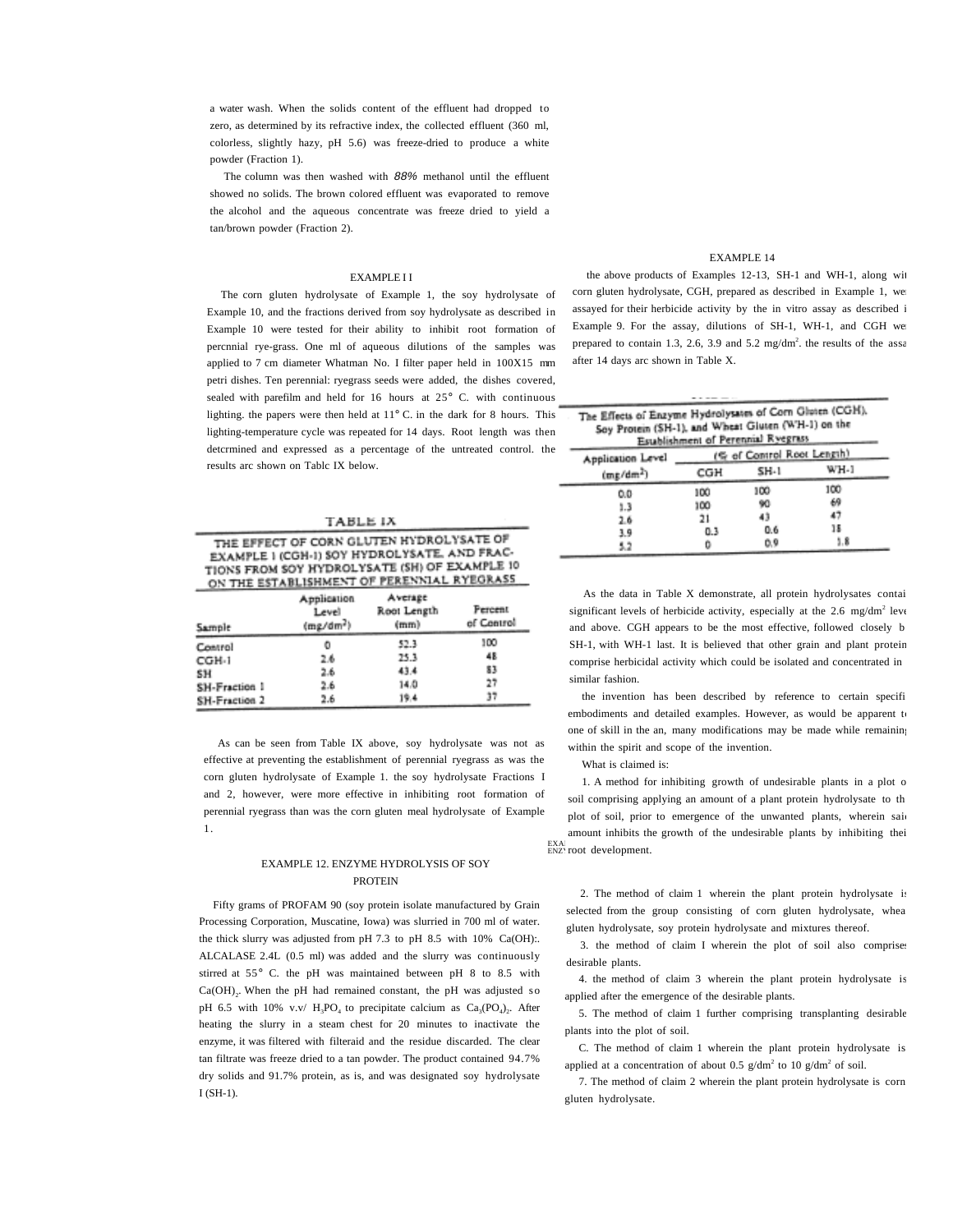a water wash. When the solids content of the effluent had dropped to zero, as determined by its refractive index, the collected effluent (360 ml, colorless, slightly hazy, pH 5.6) was freeze-dried to produce a white powder (Fraction 1).

The column was then washed with 88% methanol until the effluent showed no solids. The brown colored effluent was evaporated to remove the alcohol and the aqueous concentrate was freeze dried to yield a tan/brown powder (Fraction 2).

#### EXAMPLE I I

The corn gluten hydrolysate of Example 1, the soy hydrolysate of Example 10, and the fractions derived from soy hydrolysate as described in Example 10 were tested for their ability to inhibit root formation of percnnial rye-grass. One ml of aqueous dilutions of the samples was applied to 7 cm diameter Whatman No. I filter paper held in 100X15 mm petri dishes. Ten perennial: ryegrass seeds were added, the dishes covered, sealed with parefilm and held for 16 hours at 25° C. with continuous lighting. the papers were then held at 11° C. in the dark for 8 hours. This lighting-temperature cycle was repeated for 14 days. Root length was then detcrmined and expressed as a percentage of the untreated control. the results arc shown on Tablc IX below.

#### TABLE IX THE EFFECT OF CORN GLUTEN HYDROLYSATE OF EXAMPLE I (CGH-I) SOY HYDROLYSATE, AND FRAC-TIONS FROM SOY HYDROLYSATE (SH) OF EXAMPLE 10 ON THE ESTABLISHMENT OF PERENNIAL RYEGRASS

| Sample        | <b>Application</b><br>Level<br>$(mg/dm^2)$ | Average<br>Root Length<br>(mm) | <b>Fercent</b><br>of Control |
|---------------|--------------------------------------------|--------------------------------|------------------------------|
| Control       | o                                          | 52.3                           | 100                          |
| CGH-1         | 26                                         | 25.3                           | 48                           |
| SH            | 2.6                                        | 43.4                           | 83                           |
| SH-Fraction 1 | 2.6                                        | 14.0                           | 27                           |
| SH-Fraction 2 | 2.6                                        | 19.4                           | 37                           |

As can be seen from Table IX above, soy hydrolysate was not as effective at preventing the establishment of perennial ryegrass as was the corn gluten hydrolysate of Example 1. the soy hydrolysate Fractions I and 2, however, were more effective in inhibiting root formation of perennial ryegrass than was the corn gluten meal hydrolysate of Example 1.

#### EXAMPLE 12. ENZYME HYDROLYSIS OF SOY PROTEIN

Fifty grams of PROFAM 90 (soy protein isolate manufactured by Grain Processing Corporation, Muscatine, Iowa) was slurried in 700 ml of water. the thick slurry was adjusted from pH 7.3 to pH 8.5 with 10% Ca(OH):. ALCALASE 2.4L (0.5 ml) was added and the slurry was continuously stirred at 55° C. the pH was maintained between pH 8 to 8.5 with  $Ca(OH)$ . When the pH had remained constant, the pH was adjusted so pH 6.5 with 10% v.v/  $H_2PO_4$  to precipitate calcium as  $Ca_2(PO_4)$ . After heating the slurry in a steam chest for 20 minutes to inactivate the enzyme, it was filtered with filteraid and the residue discarded. The clear tan filtrate was freeze dried to a tan powder. The product contained 94.7% dry solids and 91.7% protein, as is, and was designated soy hydrolysate I (SH-1).

#### EXAMPLE 14

the above products of Examples 12-13, SH-1 and WH-1, along wit corn gluten hydrolysate, CGH, prepared as described in Example 1, we assayed for their herbicide activity by the in vitro assay as described i Example 9. For the assay, dilutions of SH-1, WH-1, and CGH we prepared to contain 1.3, 2.6, 3.9 and 5.2 mg/dm<sup>2</sup>. the results of the assa after 14 days arc shown in Table X.

| The Effects of Enzyme Hydrolysates of Corn Gluten (CGH),<br>Soy Protein (SH-1), and Wheat Gluten (WH-1) on the<br>Establishment of Perennial Ryegrass |     |                            |      |  |  |  |  |
|-------------------------------------------------------------------------------------------------------------------------------------------------------|-----|----------------------------|------|--|--|--|--|
| Application Level                                                                                                                                     |     | (% of Control Root Length) |      |  |  |  |  |
| $(m_E/dm^2)$                                                                                                                                          | CGH | SH-1                       | WH-1 |  |  |  |  |
| 0.0                                                                                                                                                   | 100 | 100                        | 100  |  |  |  |  |
| 1.3                                                                                                                                                   | 100 | 90                         | 69   |  |  |  |  |
| 2.6                                                                                                                                                   | 21  | 43                         | 47   |  |  |  |  |
| <b>10</b>                                                                                                                                             | n 1 | 0.6                        | 18   |  |  |  |  |

 $0.3$ 

o

As the data in Table X demonstrate, all protein hydrolysates contai significant levels of herbicide activity, especially at the  $2.6 \text{ mg/dm}^2$  leve and above. CGH appears to be the most effective, followed closely b SH-1, with WH-1 last. It is believed that other grain and plant protein comprise herbicidal activity which could be isolated and concentrated in similar fashion.

 $0.9$ 

 $1.8$ 

the invention has been described by reference to certain specifi embodiments and detailed examples. However, as would be apparent to one of skill in the an, many modifications may be made while remaining within the spirit and scope of the invention.

What is claimed is:

3.9

5.2

<sub>EXA</sub><br><sub>ENZ'</sub> root development. 1. A method for inhibiting growth of undesirable plants in a plot o soil comprising applying an amount of a plant protein hydrolysate to th plot of soil, prior to emergence of the unwanted plants, wherein said amount inhibits the growth of the undesirable plants by inhibiting thei

2. The method of claim 1 wherein the plant protein hydrolysate is selected from the group consisting of corn gluten hydrolysate, whea gluten hydrolysate, soy protein hydrolysate and mixtures thereof.

3. the method of claim I wherein the plot of soil also comprises desirable plants.

4. the method of claim 3 wherein the plant protein hydrolysate is applied after the emergence of the desirable plants.

5. The method of claim 1 further comprising transplanting desirable plants into the plot of soil.

C. The method of claim 1 wherein the plant protein hydrolysate is applied at a concentration of about 0.5  $g/dm^2$  to 10  $g/dm^2$  of soil.

7. The method of claim 2 wherein the plant protein hydrolysate is corn gluten hydrolysate.